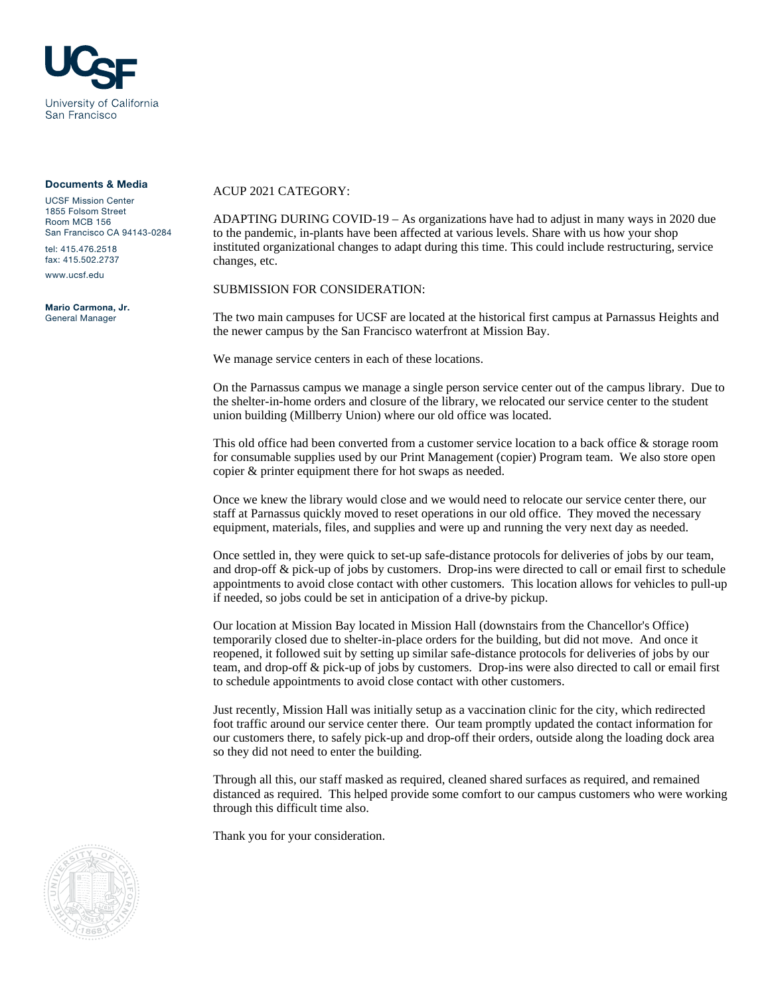

#### Documents & Media

UCSF Mission Center 1855 Folsom Street Room MCB 156 San Francisco CA 94143-0284 tel: 415.476.2518

fax: 415.502.2737

www.ucsf.edu

Mario Carmona, Jr. General Manager

#### ACUP 2021 CATEGORY:

ADAPTING DURING COVID-19 – As organizations have had to adjust in many ways in 2020 due to the pandemic, in-plants have been affected at various levels. Share with us how your shop instituted organizational changes to adapt during this time. This could include restructuring, service changes, etc.

SUBMISSION FOR CONSIDERATION:

The two main campuses for UCSF are located at the historical first campus at Parnassus Heights and the newer campus by the San Francisco waterfront at Mission Bay.

We manage service centers in each of these locations.

On the Parnassus campus we manage a single person service center out of the campus library. Due to the shelter-in-home orders and closure of the library, we relocated our service center to the student union building (Millberry Union) where our old office was located.

This old office had been converted from a customer service location to a back office & storage room for consumable supplies used by our Print Management (copier) Program team. We also store open copier & printer equipment there for hot swaps as needed.

Once we knew the library would close and we would need to relocate our service center there, our staff at Parnassus quickly moved to reset operations in our old office. They moved the necessary equipment, materials, files, and supplies and were up and running the very next day as needed.

Once settled in, they were quick to set-up safe-distance protocols for deliveries of jobs by our team, and drop-off & pick-up of jobs by customers. Drop-ins were directed to call or email first to schedule appointments to avoid close contact with other customers. This location allows for vehicles to pull-up if needed, so jobs could be set in anticipation of a drive-by pickup.

Our location at Mission Bay located in Mission Hall (downstairs from the Chancellor's Office) temporarily closed due to shelter-in-place orders for the building, but did not move. And once it reopened, it followed suit by setting up similar safe-distance protocols for deliveries of jobs by our team, and drop-off & pick-up of jobs by customers. Drop-ins were also directed to call or email first to schedule appointments to avoid close contact with other customers.

Just recently, Mission Hall was initially setup as a vaccination clinic for the city, which redirected foot traffic around our service center there. Our team promptly updated the contact information for our customers there, to safely pick-up and drop-off their orders, outside along the loading dock area so they did not need to enter the building.

Through all this, our staff masked as required, cleaned shared surfaces as required, and remained distanced as required. This helped provide some comfort to our campus customers who were working through this difficult time also.

Thank you for your consideration.

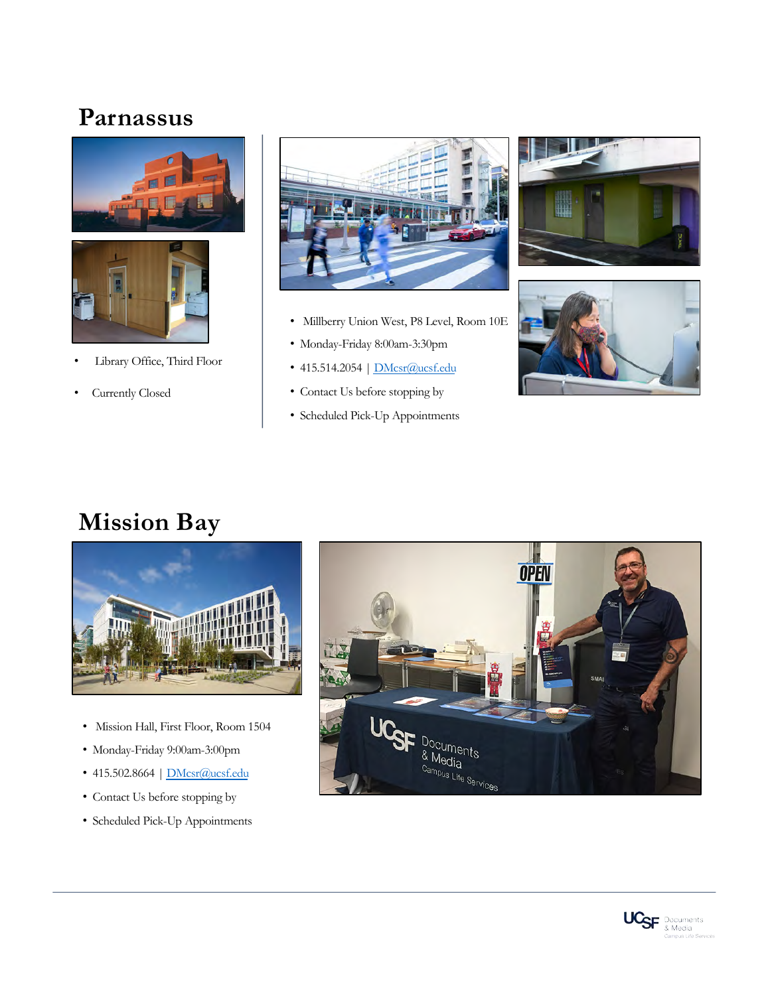# **Parnassus**



- Library Office, Third Floor
- Currently Closed



- Millberry Union West, P8 Level, Room 10E
- Monday-Friday 8:00am-3:30pm
- 415.514.2054 | **DMcsr**@ucsf.edu
- Contact Us before stopping by
- Scheduled Pick-Up Appointments





# **Mission Bay**



- Mission Hall, First Floor, Room 1504
- Monday-Friday 9:00am-3:00pm
- 415.502.8[664 | DMcsr@ucs](mailto:DMcsr@ucsf.edu)f.edu
- Contact Us before stopping by
- Scheduled Pick-Up Appointments